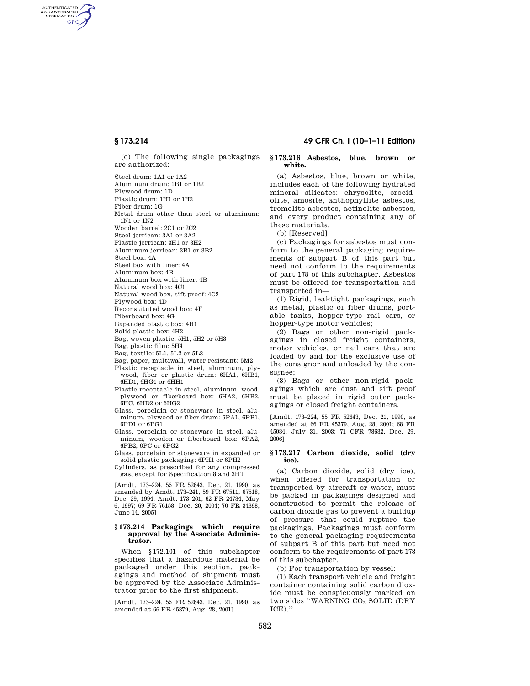AUTHENTICATED<br>U.S. GOVERNMENT<br>INFORMATION **GPO** 

> (c) The following single packagings are authorized:

Steel drum: 1A1 or 1A2

Aluminum drum: 1B1 or 1B2

Plywood drum: 1D

Plastic drum: 1H1 or 1H2

Fiber drum: 1G

Metal drum other than steel or aluminum: 1N1 or 1N2

Wooden barrel: 2C1 or 2C2

Steel jerrican: 3A1 or 3A2 Plastic jerrican: 3H1 or 3H2

Aluminum jerrican: 3B1 or 3B2

Steel box: 4A

Steel box with liner: 4A

Aluminum box: 4B

Aluminum box with liner: 4B

Natural wood box: 4C1

Natural wood box, sift proof: 4C2

Plywood box: 4D

Reconstituted wood box: 4F

Fiberboard box: 4G

Expanded plastic box: 4H1

Solid plastic box: 4H2

Bag, woven plastic: 5H1, 5H2 or 5H3

Bag, plastic film: 5H4

Bag, textile: 5L1, 5L2 or 5L3

Bag, paper, multiwall, water resistant: 5M2

- Plastic receptacle in steel, aluminum, plywood, fiber or plastic drum: 6HA1, 6HB1, 6HD1, 6HG1 or 6HH1
- Plastic receptacle in steel, aluminum, wood, plywood or fiberboard box: 6HA2, 6HB2, 6HC, 6HD2 or 6HG2
- Glass, porcelain or stoneware in steel, aluminum, plywood or fiber drum: 6PA1, 6PB1, 6PD1 or 6PG1
- Glass, porcelain or stoneware in steel, aluminum, wooden or fiberboard box: 6PA2, 6PB2, 6PC or 6PG2

Glass, porcelain or stoneware in expanded or solid plastic packaging: 6PH1 or 6PH2

Cylinders, as prescribed for any compressed gas, except for Specification 8 and 3HT

[Amdt. 173–224, 55 FR 52643, Dec. 21, 1990, as amended by Amdt. 173–241, 59 FR 67511, 67518, Dec. 29, 1994; Amdt. 173–261, 62 FR 24734, May 6, 1997; 69 FR 76158, Dec. 20, 2004; 70 FR 34398, June 14, 2005]

#### **§ 173.214 Packagings which require approval by the Associate Administrator.**

When §172.101 of this subchapter specifies that a hazardous material be packaged under this section, packagings and method of shipment must be approved by the Associate Administrator prior to the first shipment.

[Amdt. 173–224, 55 FR 52643, Dec. 21, 1990, as amended at 66 FR 45379, Aug. 28, 2001]

# **§ 173.214 49 CFR Ch. I (10–1–11 Edition)**

#### **§ 173.216 Asbestos, blue, brown or white.**

(a) Asbestos, blue, brown or white, includes each of the following hydrated mineral silicates: chrysolite, crocidolite, amosite, anthophyllite asbestos, tremolite asbestos, actinolite asbestos, and every product containing any of these materials.

(b) [Reserved]

(c) Packagings for asbestos must conform to the general packaging requirements of subpart B of this part but need not conform to the requirements of part 178 of this subchapter. Asbestos must be offered for transportation and transported in—

(1) Rigid, leaktight packagings, such as metal, plastic or fiber drums, portable tanks, hopper-type rail cars, or hopper-type motor vehicles;

(2) Bags or other non-rigid packagings in closed freight containers, motor vehicles, or rail cars that are loaded by and for the exclusive use of the consignor and unloaded by the consignee;

(3) Bags or other non-rigid packagings which are dust and sift proof must be placed in rigid outer packagings or closed freight containers.

[Amdt. 173–224, 55 FR 52643, Dec. 21, 1990, as amended at 66 FR 45379, Aug. 28, 2001; 68 FR 45034, July 31, 2003; 71 CFR 78632, Dec. 29, 2006]

## **§ 173.217 Carbon dioxide, solid (dry ice).**

(a) Carbon dioxide, solid (dry ice), when offered for transportation or transported by aircraft or water, must be packed in packagings designed and constructed to permit the release of carbon dioxide gas to prevent a buildup of pressure that could rupture the packagings. Packagings must conform to the general packaging requirements of subpart B of this part but need not conform to the requirements of part 178 of this subchapter.

(b) For transportation by vessel:

(1) Each transport vehicle and freight container containing solid carbon dioxide must be conspicuously marked on two sides "WARNING CO2 SOLID (DRY ICE).''